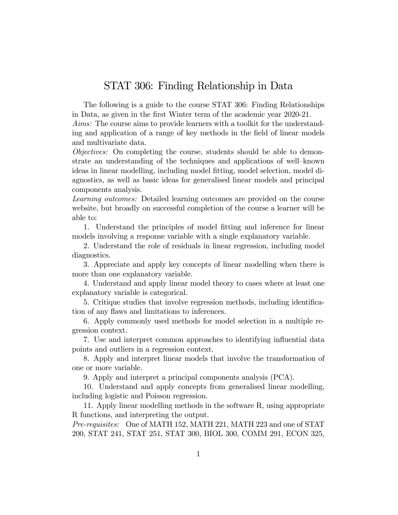## STAT 306: Finding Relationship in Data

The following is a guide to the course STAT 306: Finding Relationships in Data, as given in the Örst Winter term of the academic year 2020-21.

Aims: The course aims to provide learners with a toolkit for the understanding and application of a range of key methods in the field of linear models and multivariate data.

Objectives: On completing the course, students should be able to demonstrate an understanding of the techniques and applications of well–known ideas in linear modelling, including model fitting, model selection, model diagnostics, as well as basic ideas for generalised linear models and principal components analysis.

Learning outcomes: Detailed learning outcomes are provided on the course website, but broadly on successful completion of the course a learner will be able to:

1. Understand the principles of model fitting and inference for linear models involving a response variable with a single explanatory variable.

2. Understand the role of residuals in linear regression, including model diagnostics.

3. Appreciate and apply key concepts of linear modelling when there is more than one explanatory variable.

4. Understand and apply linear model theory to cases where at least one explanatory variable is categorical.

5. Critique studies that involve regression methods, including identification of any flaws and limitations to inferences.

6. Apply commonly used methods for model selection in a multiple regression context.

7. Use and interpret common approaches to identifying influential data points and outliers in a regression context.

8. Apply and interpret linear models that involve the transformation of one or more variable.

9. Apply and interpret a principal components analysis (PCA).

10. Understand and apply concepts from generalised linear modelling, including logistic and Poisson regression.

11. Apply linear modelling methods in the software R, using appropriate R functions, and interpreting the output.

Pre-requisites: One of MATH 152, MATH 221, MATH 223 and one of STAT 200, STAT 241, STAT 251, STAT 300, BIOL 300, COMM 291, ECON 325,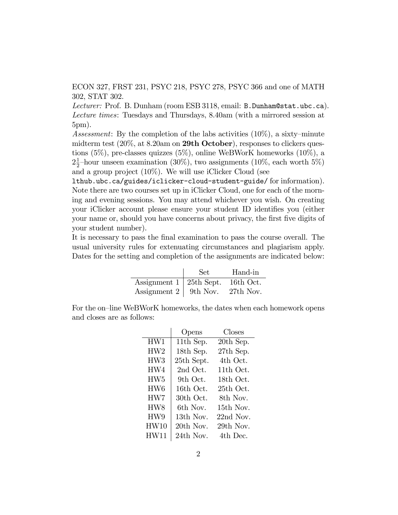ECON 327, FRST 231, PSYC 218, PSYC 278, PSYC 366 and one of MATH 302, STAT 302.

Lecturer: Prof. B. Dunham (room ESB 3118, email: B. Dunham@stat.ubc.ca). Lecture times: Tuesdays and Thursdays, 8.40am (with a mirrored session at 5pm).

Assessment: By the completion of the labs activities  $(10\%)$ , a sixty-minute midterm test  $(20\%$ , at 8.20am on **29th October**), responses to clickers questions (5%), pre-classes quizzes (5%), online WeBWorK homeworks (10%), a  $2\frac{1}{2}$ -hour unseen examination (30%), two assignments (10%, each worth 5%) and a group project (10%). We will use iClicker Cloud (see

lthub.ubc.ca/guides/iclicker-cloud-student-guide/ for information). Note there are two courses set up in iClicker Cloud, one for each of the morning and evening sessions. You may attend whichever you wish. On creating your iClicker account please ensure your student ID identifies you (either your name or, should you have concerns about privacy, the first five digits of your student number).

It is necessary to pass the Önal examination to pass the course overall. The usual university rules for extenuating circumstances and plagiarism apply. Dates for the setting and completion of the assignments are indicated below:

|                                           | Set - | Hand-in |
|-------------------------------------------|-------|---------|
| Assignment $1 \mid 25$ th Sept. 16th Oct. |       |         |
| Assignment $2 \mid 9$ th Nov. 27th Nov.   |       |         |

For the on-line WeBWorK homeworks, the dates when each homework opens and closes are as follows:

|                 | Opens      | Closes      |
|-----------------|------------|-------------|
| HW1             | 11th Sep.  | 20th Sep.   |
| HW2             | 18th Sep.  | 27th Sep.   |
| HW3             | 25th Sept. | 4th Oct.    |
| HW4             | 2nd Oct.   | 11th Oct.   |
| HW <sub>5</sub> | 9th Oct.   | 18th Oct.   |
| HW <sub>6</sub> | 16th Oct.  | 25th Oct.   |
| HW7             | 30th Oct.  | 8th Nov.    |
| HW8             | 6th Nov.   | 15th Nov.   |
| HW9             | 13th Nov.  | $22nd$ Nov. |
| HW10            | 20th Nov.  | 29th Nov.   |
| <b>HW11</b>     | 24th Nov.  | 4th Dec.    |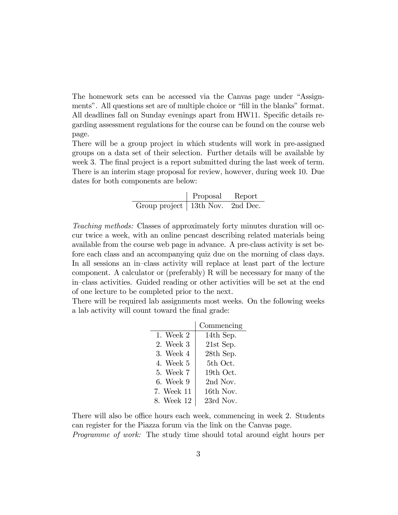The homework sets can be accessed via the Canvas page under "Assignments". All questions set are of multiple choice or "fill in the blanks" format. All deadlines fall on Sunday evenings apart from HW11. Specific details regarding assessment regulations for the course can be found on the course web page.

There will be a group project in which students will work in pre-assigned groups on a data set of their selection. Further details will be available by week 3. The final project is a report submitted during the last week of term. There is an interim stage proposal for review, however, during week 10. Due dates for both components are below:

|                                    | Proposal | Report |
|------------------------------------|----------|--------|
| Group project   13th Nov. 2nd Dec. |          |        |

Teaching methods: Classes of approximately forty minutes duration will occur twice a week, with an online pencast describing related materials being available from the course web page in advance. A pre-class activity is set before each class and an accompanying quiz due on the morning of class days. In all sessions an in-class activity will replace at least part of the lecture component. A calculator or (preferably) R will be necessary for many of the in-class activities. Guided reading or other activities will be set at the end of one lecture to be completed prior to the next.

There will be required lab assignments most weeks. On the following weeks a lab activity will count toward the final grade:

|             | Commencing |
|-------------|------------|
| 1. Week $2$ | 14th Sep.  |
| 2. Week 3   | 21st Sep.  |
| 3. Week 4   | 28th Sep.  |
| 4. Week 5   | 5th Oct.   |
| 5. Week 7   | 19th Oct.  |
| 6. Week 9   | 2nd Nov.   |
| 7. Week 11  | 16th Nov.  |
| 8. Week 12  | 23rd Nov.  |

There will also be office hours each week, commencing in week 2. Students can register for the Piazza forum via the link on the Canvas page.

Programme of work: The study time should total around eight hours per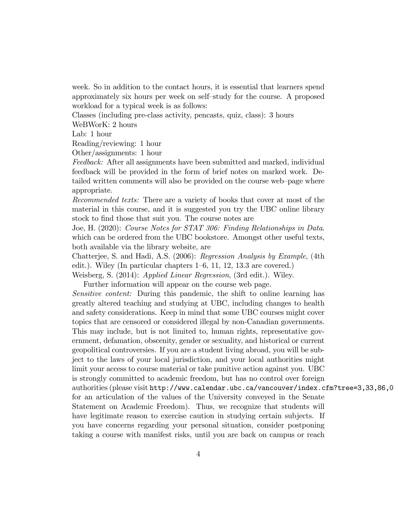week. So in addition to the contact hours, it is essential that learners spend approximately six hours per week on self-study for the course. A proposed workload for a typical week is as follows:

Classes (including pre-class activity, pencasts, quiz, class): 3 hours

WeBWorK: 2 hours

Lab: 1 hour

Reading/reviewing: 1 hour

Other/assignments: 1 hour

Feedback: After all assignments have been submitted and marked, individual feedback will be provided in the form of brief notes on marked work. Detailed written comments will also be provided on the course web-page where appropriate.

Recommended texts: There are a variety of books that cover at most of the material in this course, and it is suggested you try the UBC online library stock to find those that suit you. The course notes are

Joe, H. (2020): Course Notes for STAT 306: Finding Relationships in Data. which can be ordered from the UBC bookstore. Amongst other useful texts, both available via the library website, are

Chatterjee, S. and Hadi, A.S. (2006): Regression Analysis by Example, (4th edit.). Wiley (In particular chapters  $1-6$ , 11, 12, 13.3 are covered.)

Weisberg, S. (2014): Applied Linear Regression, (3rd edit.). Wiley.

Further information will appear on the course web page.

Sensitive content: During this pandemic, the shift to online learning has greatly altered teaching and studying at UBC, including changes to health and safety considerations. Keep in mind that some UBC courses might cover topics that are censored or considered illegal by non-Canadian governments. This may include, but is not limited to, human rights, representative government, defamation, obscenity, gender or sexuality, and historical or current geopolitical controversies. If you are a student living abroad, you will be subject to the laws of your local jurisdiction, and your local authorities might limit your access to course material or take punitive action against you. UBC is strongly committed to academic freedom, but has no control over foreign authorities (please visit http://www.calendar.ubc.ca/vancouver/index.cfm?tree=3,33,86,0 for an articulation of the values of the University conveyed in the Senate Statement on Academic Freedom). Thus, we recognize that students will have legitimate reason to exercise caution in studying certain subjects. If you have concerns regarding your personal situation, consider postponing taking a course with manifest risks, until you are back on campus or reach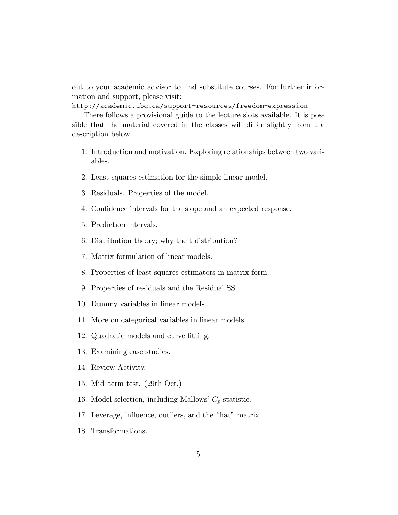out to your academic advisor to Önd substitute courses. For further information and support, please visit:

http://academic.ubc.ca/support-resources/freedom-expression

There follows a provisional guide to the lecture slots available. It is possible that the material covered in the classes will differ slightly from the description below.

- 1. Introduction and motivation. Exploring relationships between two variables.
- 2. Least squares estimation for the simple linear model.
- 3. Residuals. Properties of the model.
- 4. Confidence intervals for the slope and an expected response.
- 5. Prediction intervals.
- 6. Distribution theory; why the t distribution?
- 7. Matrix formulation of linear models.
- 8. Properties of least squares estimators in matrix form.
- 9. Properties of residuals and the Residual SS.
- 10. Dummy variables in linear models.
- 11. More on categorical variables in linear models.
- 12. Quadratic models and curve fitting.
- 13. Examining case studies.
- 14. Review Activity.
- 15. Mid-term test.  $(29th Oct.)$
- 16. Model selection, including Mallows'  $C_p$  statistic.
- 17. Leverage, influence, outliers, and the "hat" matrix.
- 18. Transformations.